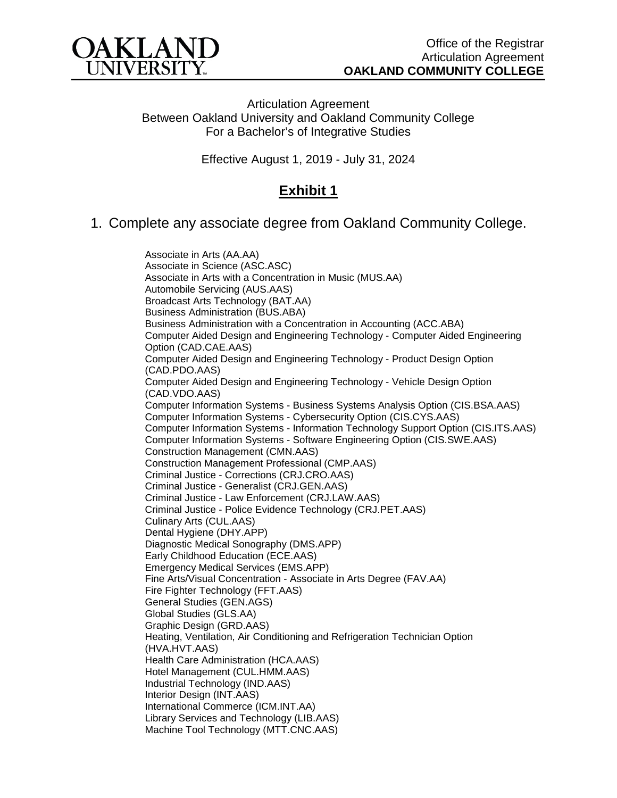

Articulation Agreement Between Oakland University and Oakland Community College For a Bachelor's of Integrative Studies

Effective August 1, 2019 - July 31, 2024

## **Exhibit 1**

1. Complete any associate degree from Oakland Community College.

[Associate in Arts](http://catalog.oaklandcc.edu/programs/associate-in-arts/) (AA.AA) Associate in Science (ASC.ASC) [Associate in Arts with a Concentration in Music \(MUS.AA\)](http://catalog.oaklandcc.edu/programs/music/music-aa/) [Automobile Servicing \(AUS.AAS\)](http://catalog.oaklandcc.edu/programs/automobile-servicing/automobile-servicing-aas/) [Broadcast Arts Technology \(BAT.AA\)](http://catalog.oaklandcc.edu/programs/broadcast-arts-technology/broadcast-arts-technology-aa/) [Business Administration](http://catalog.oaklandcc.edu/programs/business-administration/) (BUS.ABA) [Business Administration with a Concentration in Accounting \(ACC.ABA\)](http://catalog.oaklandcc.edu/programs/business-administration/business-administration-concentration-accounting-aba/) [Computer Aided Design and Engineering Technology -](http://catalog.oaklandcc.edu/programs/computer-aided-design-drafting-technology/computer-aided-design-drafting-technology-engineering-option-aas/) Computer Aided Engineering [Option \(CAD.CAE.AAS\)](http://catalog.oaklandcc.edu/programs/computer-aided-design-drafting-technology/computer-aided-design-drafting-technology-engineering-option-aas/) [Computer Aided Design and Engineering Technology -](http://catalog.oaklandcc.edu/programs/computer-aided-design-drafting-technology/computer-aided-design-drafting-technology-cad-product-design-option-aas/) Product Design Option [\(CAD.PDO.AAS\)](http://catalog.oaklandcc.edu/programs/computer-aided-design-drafting-technology/computer-aided-design-drafting-technology-cad-product-design-option-aas/) [Computer Aided Design and Engineering Technology -](http://catalog.oaklandcc.edu/programs/computer-aided-design-drafting-technology/computer-aided-design-drafting-technology-vehicle-option-aas/) Vehicle Design Option [\(CAD.VDO.AAS\)](http://catalog.oaklandcc.edu/programs/computer-aided-design-drafting-technology/computer-aided-design-drafting-technology-vehicle-option-aas/) Computer Information Systems - [Business Systems Analysis Option \(CIS.BSA.AAS\)](http://catalog.oaklandcc.edu/programs/computer-information-systems/business-systems-analysis-option-aas/) Computer Information Systems - [Cybersecurity Option \(CIS.CYS.AAS\)](http://catalog.oaklandcc.edu/programs/computer-information-systems/cybersecurity-option-aas/) Computer Information Systems - [Information Technology Support Option \(CIS.ITS.AAS\)](http://catalog.oaklandcc.edu/programs/computer-information-systems/tech-support-option-aas/) Computer Information Systems - [Software Engineering Option \(CIS.SWE.AAS\)](http://catalog.oaklandcc.edu/programs/computer-information-systems/software-engineering-option-aas/) [Construction Management \(CMN.AAS\)](http://catalog.oaklandcc.edu/programs/construction-management/construction-management-aas/) [Construction Management Professional \(CMP.AAS\)](http://catalog.oaklandcc.edu/programs/construction-management-professional/construction-management-professional-aas/) Criminal Justice - [Corrections \(CRJ.CRO.AAS\)](http://catalog.oaklandcc.edu/programs/criminal-justice/corrections-aas/) Criminal Justice - [Generalist \(CRJ.GEN.AAS\)](http://catalog.oaklandcc.edu/programs/criminal-justice/generalist-aas/) Criminal Justice - [Law Enforcement \(CRJ.LAW.AAS\)](http://catalog.oaklandcc.edu/programs/criminal-justice/law-enforcement-aas/) Criminal Justice - [Police Evidence Technology \(CRJ.PET.AAS\)](http://catalog.oaklandcc.edu/programs/criminal-justice/police-evidence-technology-aas/) [Culinary Arts \(CUL.AAS\)](http://catalog.oaklandcc.edu/programs/culinary-arts/culinary-arts-aas-extended-degree/) [Dental Hygiene \(DHY.APP\)](http://catalog.oaklandcc.edu/programs/dental-hygiene/dental-hygiene-aas/) [Diagnostic Medical Sonography \(DMS.APP\)](http://catalog.oaklandcc.edu/programs/diagnostic-medical-sonography/diagnostic-medical-sonography-aas/) [Early Childhood Education \(ECE.AAS\)](http://catalog.oaklandcc.edu/programs/early-childhood-education/early-childhood-education-aas/) [Emergency Medical Services \(EMS.APP\)](http://catalog.oaklandcc.edu/programs/emergency-medical-services/emergency-medical-services-aas/) Fine Arts/Visual Concentration - [Associate in Arts Degree \(FAV.AA\)](http://catalog.oaklandcc.edu/programs/fine-arts-visual/fine-arts-visual-aa/) [Fire Fighter Technology \(FFT.AAS\)](http://catalog.oaklandcc.edu/programs/fire-fighter-technology/fire-fighter-technology-aas/) [General Studies](http://catalog.oaklandcc.edu/programs/general-studies/) (GEN.AGS) [Global Studies \(GLS.AA\)](http://catalog.oaklandcc.edu/programs/global-studies/global-studies-aa/) Graphic [Design \(GRD.AAS\)](http://catalog.oaklandcc.edu/programs/graphic-design/graphic-design-aas/) [Heating, Ventilation, Air Conditioning and Refrigeration Technician Option](http://catalog.oaklandcc.edu/programs/hvacr-systems-technology/heating-ventilation-air-conditioning-refrigeration-technician-option-aas/)  [\(HVA.HVT.AAS\)](http://catalog.oaklandcc.edu/programs/hvacr-systems-technology/heating-ventilation-air-conditioning-refrigeration-technician-option-aas/) [Health Care Administration \(HCA.AAS\)](http://catalog.oaklandcc.edu/programs/health-care-administration/health-care-administration-aas/) [Hotel Management \(CUL.HMM.AAS\)](http://catalog.oaklandcc.edu/programs/hotel-management/hotel-management-aas/) [Industrial Technology](http://catalog.oaklandcc.edu/programs/industrial-technology/) (IND.AAS) [Interior Design \(INT.AAS\)](http://catalog.oaklandcc.edu/programs/interior-design/interior-design-aas/) [International Commerce \(ICM.INT.AA\)](http://catalog.oaklandcc.edu/programs/international-commerce/international-commerce-aa/) [Library Services and Technology \(LIB.AAS\)](http://catalog.oaklandcc.edu/programs/library-technical-services/library-technical-services-aas/) [Machine Tool Technology \(MTT.CNC.AAS\)](http://catalog.oaklandcc.edu/programs/machine-tool-technology/machine-tool-technology-aas/)